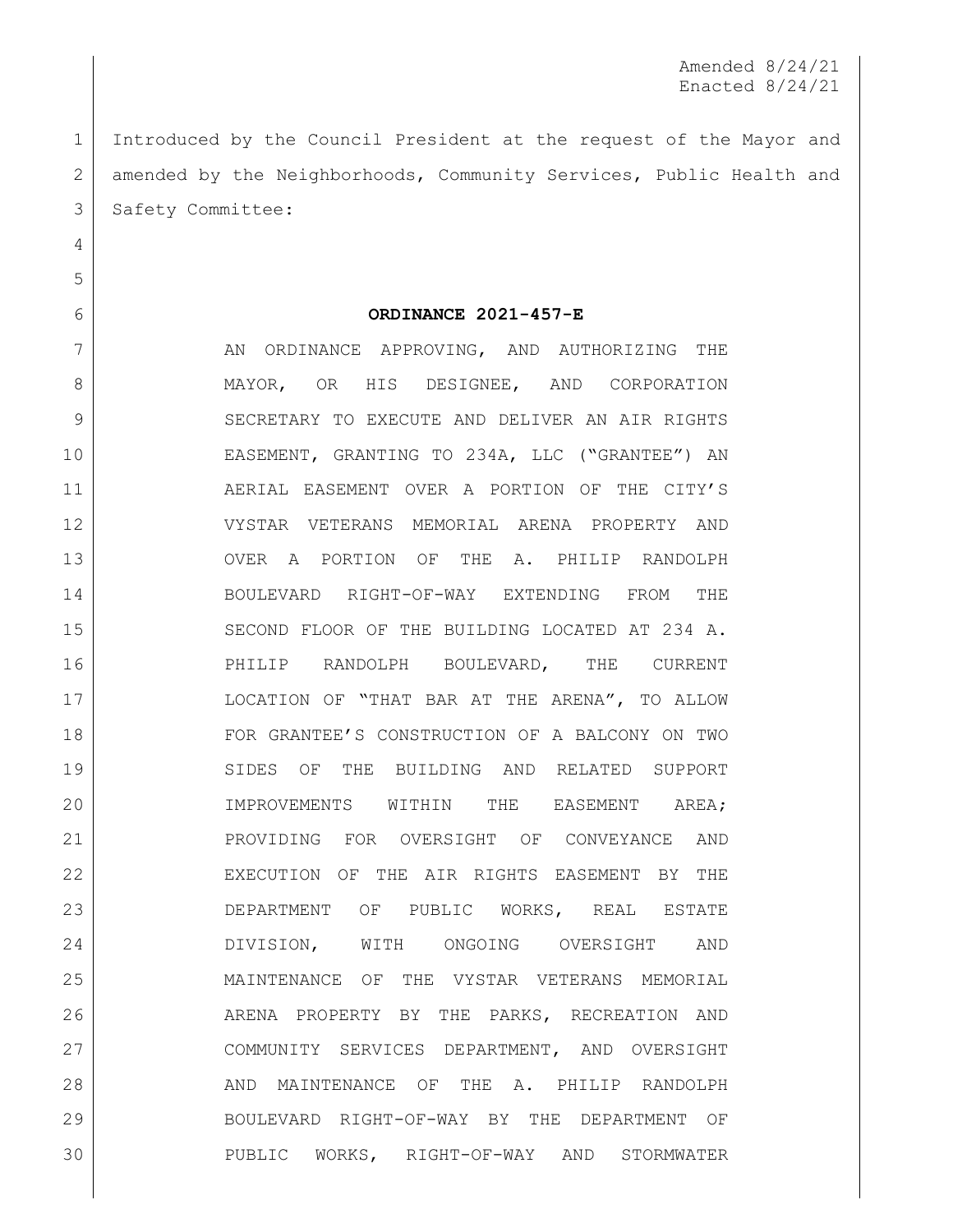Introduced by the Council President at the request of the Mayor and 2 amended by the Neighborhoods, Community Services, Public Health and 3 Safety Committee:

## **ORDINANCE 2021-457-E**

7 AN ORDINANCE APPROVING, AND AUTHORIZING THE 8 MAYOR, OR HIS DESIGNEE, AND CORPORATION 9 SECRETARY TO EXECUTE AND DELIVER AN AIR RIGHTS EASEMENT, GRANTING TO 234A, LLC ("GRANTEE") AN AERIAL EASEMENT OVER A PORTION OF THE CITY'S VYSTAR VETERANS MEMORIAL ARENA PROPERTY AND OVER A PORTION OF THE A. PHILIP RANDOLPH BOULEVARD RIGHT-OF-WAY EXTENDING FROM THE 15 SECOND FLOOR OF THE BUILDING LOCATED AT 234 A. PHILIP RANDOLPH BOULEVARD, THE CURRENT 17 | COCATION OF "THAT BAR AT THE ARENA", TO ALLOW FOR GRANTEE'S CONSTRUCTION OF A BALCONY ON TWO 19 SIDES OF THE BUILDING AND RELATED SUPPORT 20 IMPROVEMENTS WITHIN THE EASEMENT AREA; PROVIDING FOR OVERSIGHT OF CONVEYANCE AND EXECUTION OF THE AIR RIGHTS EASEMENT BY THE DEPARTMENT OF PUBLIC WORKS, REAL ESTATE DIVISION, WITH ONGOING OVERSIGHT AND MAINTENANCE OF THE VYSTAR VETERANS MEMORIAL ARENA PROPERTY BY THE PARKS, RECREATION AND COMMUNITY SERVICES DEPARTMENT, AND OVERSIGHT 28 AND MAINTENANCE OF THE A. PHILIP RANDOLPH BOULEVARD RIGHT-OF-WAY BY THE DEPARTMENT OF PUBLIC WORKS, RIGHT-OF-WAY AND STORMWATER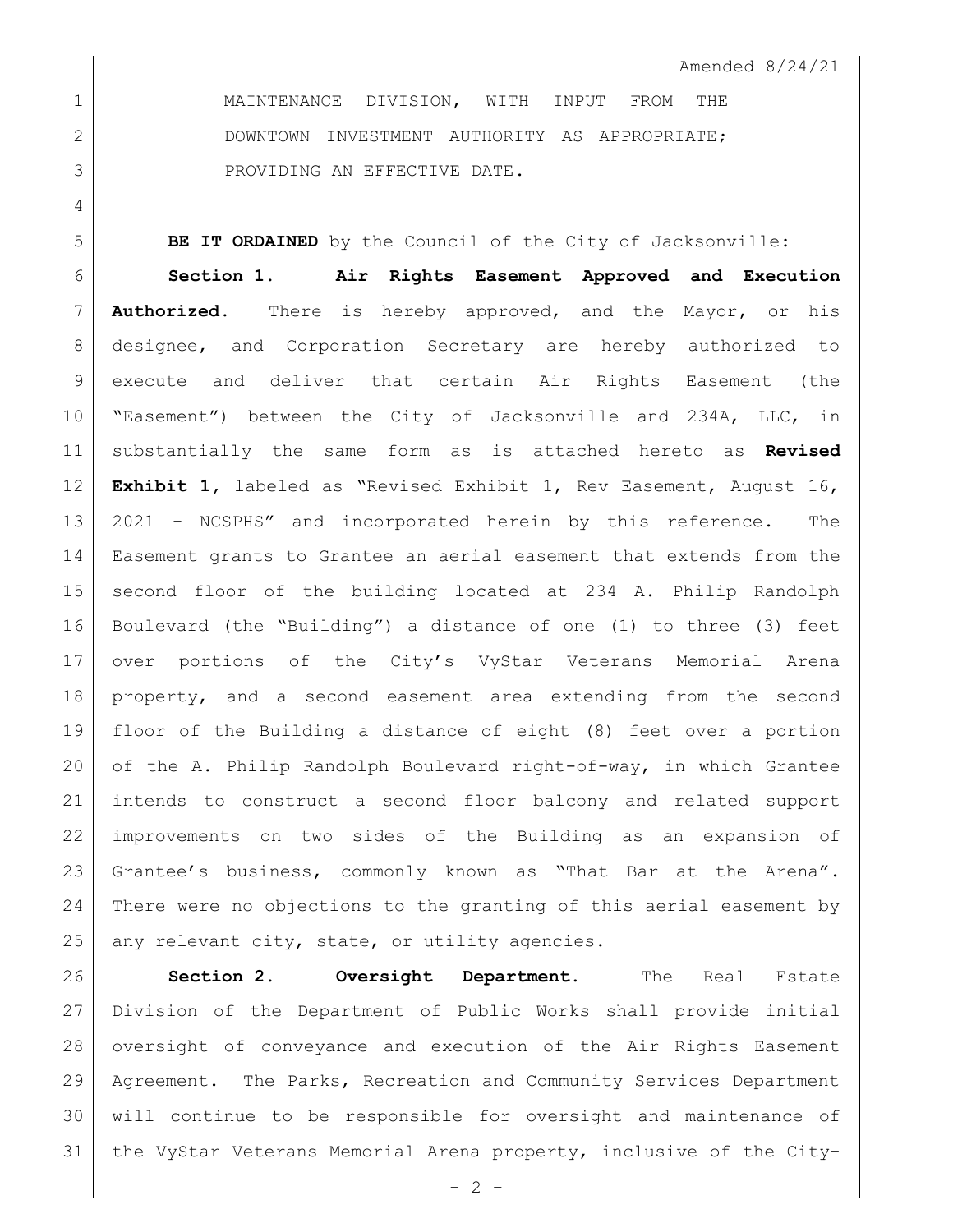MAINTENANCE DIVISION, WITH INPUT FROM THE 2 DOWNTOWN INVESTMENT AUTHORITY AS APPROPRIATE; 3 ROVIDING AN EFFECTIVE DATE.

**BE IT ORDAINED** by the Council of the City of Jacksonville:

 **Section 1**. **Air Rights Easement Approved and Execution Authorized.** There is hereby approved, and the Mayor, or his designee, and Corporation Secretary are hereby authorized to execute and deliver that certain Air Rights Easement (the "Easement") between the City of Jacksonville and 234A, LLC, in substantially the same form as is attached hereto as **Revised Exhibit 1,** labeled as "Revised Exhibit 1, Rev Easement, August 16, 2021 - NCSPHS" and incorporated herein by this reference. The Easement grants to Grantee an aerial easement that extends from the second floor of the building located at 234 A. Philip Randolph Boulevard (the "Building") a distance of one (1) to three (3) feet over portions of the City's VyStar Veterans Memorial Arena property, and a second easement area extending from the second floor of the Building a distance of eight (8) feet over a portion of the A. Philip Randolph Boulevard right-of-way, in which Grantee intends to construct a second floor balcony and related support improvements on two sides of the Building as an expansion of Grantee's business, commonly known as "That Bar at the Arena". There were no objections to the granting of this aerial easement by any relevant city, state, or utility agencies.

 **Section 2. Oversight Department.** The Real Estate Division of the Department of Public Works shall provide initial oversight of conveyance and execution of the Air Rights Easement Agreement. The Parks, Recreation and Community Services Department will continue to be responsible for oversight and maintenance of the VyStar Veterans Memorial Arena property, inclusive of the City-

 $-2 -$